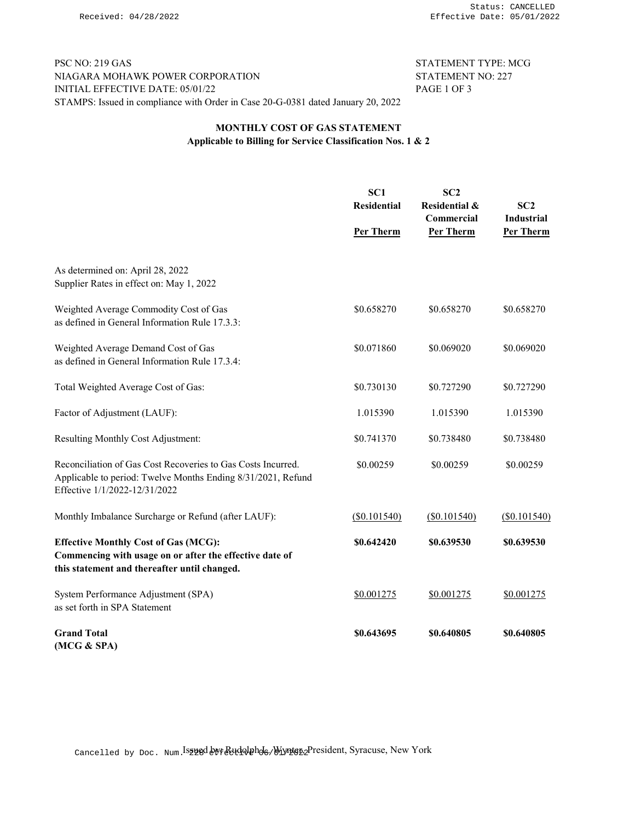PSC NO: 219 GAS STATEMENT TYPE: MCG NIAGARA MOHAWK POWER CORPORATION STATEMENT NO: 227 INITIAL EFFECTIVE DATE: 05/01/22 PAGE 1 OF 3 STAMPS: Issued in compliance with Order in Case 20-G-0381 dated January 20, 2022

## MONTHLY COST OF GAS STATEMENT Applicable to Billing for Service Classification Nos. 1 & 2

|                                                                                                                                                               | SC <sub>1</sub><br><b>Residential</b><br>Per Therm | SC2<br><b>Residential &amp;</b><br>Commercial<br>Per Therm | SC2<br><b>Industrial</b><br>Per Therm |
|---------------------------------------------------------------------------------------------------------------------------------------------------------------|----------------------------------------------------|------------------------------------------------------------|---------------------------------------|
|                                                                                                                                                               |                                                    |                                                            |                                       |
| As determined on: April 28, 2022<br>Supplier Rates in effect on: May 1, 2022                                                                                  |                                                    |                                                            |                                       |
| Weighted Average Commodity Cost of Gas<br>as defined in General Information Rule 17.3.3:                                                                      | \$0.658270                                         | \$0.658270                                                 | \$0.658270                            |
| Weighted Average Demand Cost of Gas<br>as defined in General Information Rule 17.3.4:                                                                         | \$0.071860                                         | \$0.069020                                                 | \$0.069020                            |
| Total Weighted Average Cost of Gas:                                                                                                                           | \$0.730130                                         | \$0.727290                                                 | \$0.727290                            |
| Factor of Adjustment (LAUF):                                                                                                                                  | 1.015390                                           | 1.015390                                                   | 1.015390                              |
| Resulting Monthly Cost Adjustment:                                                                                                                            | \$0.741370                                         | \$0.738480                                                 | \$0.738480                            |
| Reconciliation of Gas Cost Recoveries to Gas Costs Incurred.<br>Applicable to period: Twelve Months Ending 8/31/2021, Refund<br>Effective 1/1/2022-12/31/2022 | \$0.00259                                          | \$0.00259                                                  | \$0.00259                             |
| Monthly Imbalance Surcharge or Refund (after LAUF):                                                                                                           | (S0.101540)                                        | (S0.101540)                                                | (S0.101540)                           |
| <b>Effective Monthly Cost of Gas (MCG):</b><br>Commencing with usage on or after the effective date of<br>this statement and thereafter until changed.        | \$0.642420                                         | \$0.639530                                                 | \$0.639530                            |
| System Performance Adjustment (SPA)<br>as set forth in SPA Statement                                                                                          | \$0.001275                                         | \$0.001275                                                 | \$0.001275                            |
| <b>Grand Total</b><br>(MCG & SPA)                                                                                                                             | \$0.643695                                         | \$0.640805                                                 | \$0.640805                            |

Cancelled by Doc. Num.Isgyed byfRudolphd<sub>6</sub>, Wynter<sub>2</sub>President, Syracuse, New York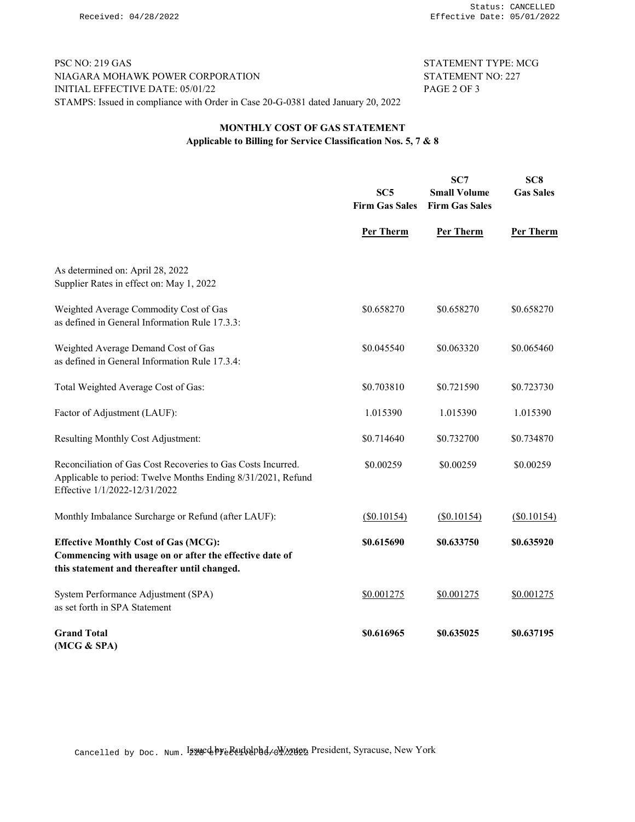PSC NO: 219 GAS STATEMENT TYPE: MCG NIAGARA MOHAWK POWER CORPORATION STATEMENT NO: 227 INITIAL EFFECTIVE DATE: 05/01/22 PAGE 2 OF 3 STAMPS: Issued in compliance with Order in Case 20-G-0381 dated January 20, 2022

## MONTHLY COST OF GAS STATEMENT Applicable to Billing for Service Classification Nos. 5, 7 & 8

|                                                                                                                                                               | SC5<br><b>Firm Gas Sales</b> | SC7<br><b>Small Volume</b><br><b>Firm Gas Sales</b> | SC <sub>8</sub><br><b>Gas Sales</b> |
|---------------------------------------------------------------------------------------------------------------------------------------------------------------|------------------------------|-----------------------------------------------------|-------------------------------------|
|                                                                                                                                                               | Per Therm                    | Per Therm                                           | Per Therm                           |
| As determined on: April 28, 2022<br>Supplier Rates in effect on: May 1, 2022                                                                                  |                              |                                                     |                                     |
| Weighted Average Commodity Cost of Gas<br>as defined in General Information Rule 17.3.3:                                                                      | \$0.658270                   | \$0.658270                                          | \$0.658270                          |
| Weighted Average Demand Cost of Gas<br>as defined in General Information Rule 17.3.4:                                                                         | \$0.045540                   | \$0.063320                                          | \$0.065460                          |
| Total Weighted Average Cost of Gas:                                                                                                                           | \$0.703810                   | \$0.721590                                          | \$0.723730                          |
| Factor of Adjustment (LAUF):                                                                                                                                  | 1.015390                     | 1.015390                                            | 1.015390                            |
| Resulting Monthly Cost Adjustment:                                                                                                                            | \$0.714640                   | \$0.732700                                          | \$0.734870                          |
| Reconciliation of Gas Cost Recoveries to Gas Costs Incurred.<br>Applicable to period: Twelve Months Ending 8/31/2021, Refund<br>Effective 1/1/2022-12/31/2022 | \$0.00259                    | \$0.00259                                           | \$0.00259                           |
| Monthly Imbalance Surcharge or Refund (after LAUF):                                                                                                           | (S0.10154)                   | (S0.10154)                                          | (S0.10154)                          |
| <b>Effective Monthly Cost of Gas (MCG):</b><br>Commencing with usage on or after the effective date of<br>this statement and thereafter until changed.        | \$0.615690                   | \$0.633750                                          | \$0.635920                          |
| System Performance Adjustment (SPA)<br>as set forth in SPA Statement                                                                                          | \$0.001275                   | \$0.001275                                          | \$0.001275                          |
| <b>Grand Total</b><br>(MCG & SPA)                                                                                                                             | \$0.616965                   | \$0.635025                                          | \$0.637195                          |

Cancelled by Doc. Num. Issuedby: Rudolph L. Wynter, President, Syracuse, New York